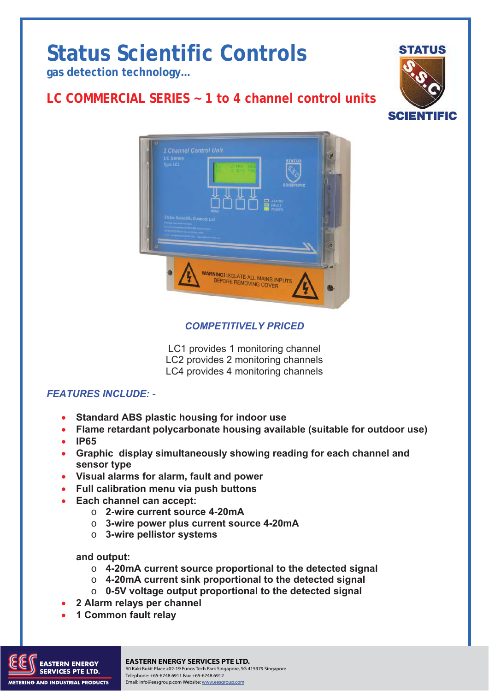# **Status Scientific Controls**

**gas detection technology…** 

## **LC COMMERCIAL SERIES ~ 1 to 4 channel control units**





#### *COMPETITIVELY PRICED*

LC1 provides 1 monitoring channel LC2 provides 2 monitoring channels LC4 provides 4 monitoring channels

#### *FEATURES INCLUDE: -*

- **Standard ABS plastic housing for indoor use**
- **Flame retardant polycarbonate housing available (suitable for outdoor use)**
- **IP65**
- **Graphic display simultaneously showing reading for each channel and sensor type**
- **Visual alarms for alarm, fault and power**
- **Full calibration menu via push buttons**
- **Each channel can accept:** 
	- o **2-wire current source 4-20mA** 
		- o **3-wire power plus current source 4-20mA**
		- o **3-wire pellistor systems**

#### **and output:**

- o **4-20mA current source proportional to the detected signal**
- o **4-20mA current sink proportional to the detected signal**
- o **0-5V voltage output proportional to the detected signal**
- **2 Alarm relays per channel**
- **1 Common fault relay**



#### **EASTERN ENERGY SERVICES PTE LTD.**

TD18/015 Issue 1 30.10.08. Change Note: N/A Page 1 60 Kaki Bukit Place #02-19 Eunos Tech Park Singapore, SG 415979 Singapore Telephone: +65-6748 6911 Fax: +65-6748 6912 Email: info@eesgroup.com Website: www.eesgroup.com